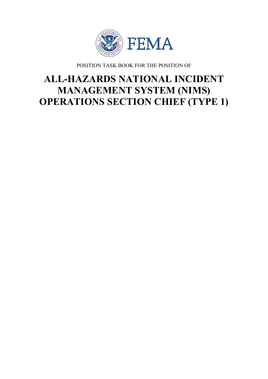

POSITION TASK BOOK FOR THE POSITION OF

# **ALL-HAZARDS NATIONAL INCIDENT MANAGEMENT SYSTEM (NIMS) OPERATIONS SECTION CHIEF (TYPE 1)**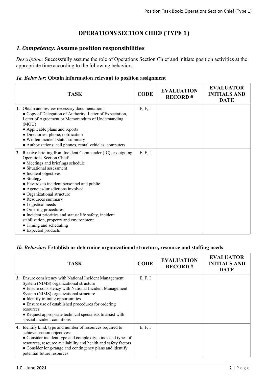# **OPERATIONS SECTION CHIEF (TYPE 1)**

## *1. Competency:* **Assume position responsibilities**

*Description:* Successfully assume the role of Operations Section Chief and initiate position activities at the appropriate time according to the following behaviors.

#### *1a. Behavior:* **Obtain information relevant to position assignment**

| <b>TASK</b>                                                                                                                                                                                                                                                                                                                                                                                                                                                                                                                                      | <b>CODE</b> | <b>EVALUATION</b><br><b>RECORD#</b> | <b>EVALUATOR</b><br><b>INITIALS AND</b><br><b>DATE</b> |
|--------------------------------------------------------------------------------------------------------------------------------------------------------------------------------------------------------------------------------------------------------------------------------------------------------------------------------------------------------------------------------------------------------------------------------------------------------------------------------------------------------------------------------------------------|-------------|-------------------------------------|--------------------------------------------------------|
| 1. Obtain and review necessary documentation:<br>• Copy of Delegation of Authority, Letter of Expectation,<br>Letter of Agreement or Memorandum of Understanding<br>(MOU)<br>• Applicable plans and reports<br>• Directories: phone, notification<br>• Written incident status summary<br>• Authorizations: cell phones, rental vehicles, computers                                                                                                                                                                                              | E, F, I     |                                     |                                                        |
| 2. Receive briefing from Incident Commander (IC) or outgoing<br>Operations Section Chief:<br>• Meetings and briefings schedule<br>• Situational assessment<br>• Incident objectives<br>• Strategy<br>• Hazards to incident personnel and public<br>• Agencies/jurisdictions involved<br>• Organizational structure<br>• Resources summary<br>• Logistical needs<br>• Ordering procedures<br>• Incident priorities and status: life safety, incident<br>stabilization, property and environment<br>• Timing and scheduling<br>• Expected products | E, F, I     |                                     |                                                        |

#### *1b. Behavior:* **Establish or determine organizational structure, resource and staffing needs**

| TASK                                                                                                                                                                                                                                                                                                                                                                                                        | <b>CODE</b> | <b>EVALUATION</b><br><b>RECORD#</b> | <b>EVALUATOR</b><br><b>INITIALS AND</b><br><b>DATE</b> |
|-------------------------------------------------------------------------------------------------------------------------------------------------------------------------------------------------------------------------------------------------------------------------------------------------------------------------------------------------------------------------------------------------------------|-------------|-------------------------------------|--------------------------------------------------------|
| 3. Ensure consistency with National Incident Management<br>System (NIMS) organizational structure<br>• Ensure consistency with National Incident Management<br>System (NIMS) organizational structure<br>• Identify training opportunities<br>• Ensure use of established procedures for ordering<br>resources<br>• Request appropriate technical specialists to assist with<br>special incident conditions | E, F, I     |                                     |                                                        |
| 4. Identify kind, type and number of resources required to<br>achieve section objectives:<br>• Consider incident type and complexity, kinds and types of<br>resources, resource availability and health and safety factors<br>• Consider long-range and contingency plans and identify<br>potential future resources                                                                                        | E, F, I     |                                     |                                                        |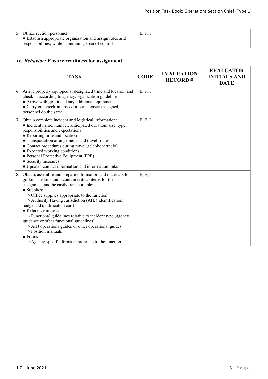# *1c. Behavior:* **Ensure readiness for assignment**

| <b>TASK</b>                                                                                                                                                                                                                                                                                                                                                                                                                                                                                                                                                                                                                      | <b>CODE</b> | <b>EVALUATION</b><br><b>RECORD#</b> | <b>EVALUATOR</b><br><b>INITIALS AND</b><br><b>DATE</b> |
|----------------------------------------------------------------------------------------------------------------------------------------------------------------------------------------------------------------------------------------------------------------------------------------------------------------------------------------------------------------------------------------------------------------------------------------------------------------------------------------------------------------------------------------------------------------------------------------------------------------------------------|-------------|-------------------------------------|--------------------------------------------------------|
| 6. Arrive properly equipped at designated time and location and<br>check in according to agency/organization guidelines:<br>• Arrive with go-kit and any additional equipment<br>• Carry out check-in procedures and ensure assigned<br>personnel do the same                                                                                                                                                                                                                                                                                                                                                                    | E, F, I     |                                     |                                                        |
| 7. Obtain complete incident and logistical information:<br>• Incident name, number, anticipated duration, size, type,<br>responsibilities and expectations<br>• Reporting time and location<br>• Transportation arrangements and travel routes<br>• Contact procedures during travel (telephone/radio)<br>• Expected working conditions<br>• Personal Protective Equipment (PPE)<br>• Security measures<br>• Updated contact information and information links                                                                                                                                                                   | E, F, I     |                                     |                                                        |
| 8. Obtain, assemble and prepare information and materials for<br>go-kit. The kit should contain critical items for the<br>assignment and be easily transportable:<br>• Supplies:<br>$\circ$ Office supplies appropriate to the function<br>○ Authority Having Jurisdiction (AHJ) identification<br>badge and qualification card<br>• Reference materials:<br>○ Functional guidelines relative to incident type (agency<br>guidance or other functional guidelines)<br>o AHJ operations guides or other operational guides<br>$\circ$ Position manuals<br>$\bullet$ Forms:<br>○ Agency-specific forms appropriate to the function | E, F, I     |                                     |                                                        |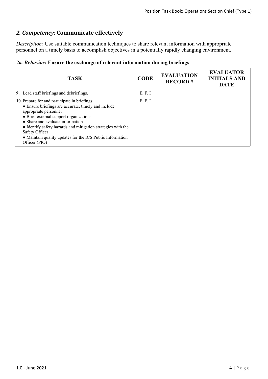# *2. Competency:* **Communicate effectively**

*Description:* Use suitable communication techniques to share relevant information with appropriate personnel on a timely basis to accomplish objectives in a potentially rapidly changing environment.

|  |  |  |  |  | 2a. Behavior: Ensure the exchange of relevant information during briefings |  |  |
|--|--|--|--|--|----------------------------------------------------------------------------|--|--|
|--|--|--|--|--|----------------------------------------------------------------------------|--|--|

| <b>TASK</b>                                                                                                                                                                                                                                                                                                                                                                 | <b>CODE</b> | <b>EVALUATION</b><br><b>RECORD#</b> | <b>EVALUATOR</b><br><b>INITIALS AND</b><br><b>DATE</b> |
|-----------------------------------------------------------------------------------------------------------------------------------------------------------------------------------------------------------------------------------------------------------------------------------------------------------------------------------------------------------------------------|-------------|-------------------------------------|--------------------------------------------------------|
| 9. Lead staff briefings and debriefings.                                                                                                                                                                                                                                                                                                                                    | E, F, I     |                                     |                                                        |
| 10. Prepare for and participate in briefings:<br>• Ensure briefings are accurate, timely and include<br>appropriate personnel<br>• Brief external support organizations<br>• Share and evaluate information<br>• Identify safety hazards and mitigation strategies with the<br>Safety Officer<br>• Maintain quality updates for the ICS Public Information<br>Officer (PIO) | E, F, I     |                                     |                                                        |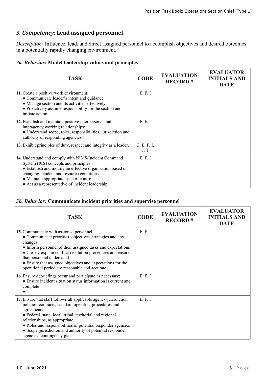## *3. Competency:* **Lead assigned personnel**

*Description:* Influence, lead, and direct assigned personnel to accomplish objectives and desired outcomes in a potentially rapidly changing environment.

#### *3a. Behavior:* **Model leadership values and principles**

| <b>TASK</b>                                                                                                                                                                                                                                                                                           | <b>CODE</b>         | <b>EVALUATION</b><br><b>RECORD#</b> | <b>EVALUATOR</b><br><b>INITIALS AND</b><br><b>DATE</b> |
|-------------------------------------------------------------------------------------------------------------------------------------------------------------------------------------------------------------------------------------------------------------------------------------------------------|---------------------|-------------------------------------|--------------------------------------------------------|
| 11. Create a positive work environment:<br>• Communicate leader's intent and guidance<br>• Manage section and its activities effectively<br>• Proactively assume responsibility for the section and<br>initiate action                                                                                | E, F, I             |                                     |                                                        |
| 12. Establish and maintain positive interpersonal and<br>interagency working relationships:<br>· Understand scope, roles, responsibilities, jurisdiction and<br>authority of responding agencies                                                                                                      | E, F, I             |                                     |                                                        |
| 13. Exhibit principles of duty, respect and integrity as a leader.                                                                                                                                                                                                                                    | C, E, F, I,<br>J, T |                                     |                                                        |
| 14. Understand and comply with NIMS/Incident Command<br>System (ICS) concepts and principles:<br>• Establish and modify an effective organization based on<br>changing incident and resource conditions<br>• Maintain appropriate span of control<br>• Act as a representative of incident leadership | E, F, I             |                                     |                                                        |

#### *3b. Behavior:* **Communicate incident priorities and supervise personnel**

| <b>TASK</b>                                                                                                                                                                                                                                                                                                                                                                                          | <b>CODE</b> | <b>EVALUATION</b><br><b>RECORD#</b> | <b>EVALUATOR</b><br><b>INITIALS AND</b><br><b>DATE</b> |
|------------------------------------------------------------------------------------------------------------------------------------------------------------------------------------------------------------------------------------------------------------------------------------------------------------------------------------------------------------------------------------------------------|-------------|-------------------------------------|--------------------------------------------------------|
| 15. Communicate with assigned personnel:<br>• Communicate priorities, objectives, strategies and any<br>changes<br>• Inform personnel of their assigned tasks and expectations<br>• Clearly explain conflict resolution procedures and ensure<br>that personnel understand<br>• Ensure that assigned objectives and expectations for the<br>operational period are reasonable and accurate           | E, F, I     |                                     |                                                        |
| 16. Ensure debriefings occur and participate as necessary:<br>• Ensure incident situation status information is current and<br>complete                                                                                                                                                                                                                                                              | E, F, I     |                                     |                                                        |
| 17. Ensure that staff follows all applicable agency/jurisdiction<br>policies, contracts, standard operating procedures and<br>agreements:<br>• Federal, state, local, tribal, territorial and regional<br>relationships, as appropriate<br>• Roles and responsibilities of potential responder agencies<br>• Scope, jurisdiction and authority of potential responder<br>agencies' contingency plans | E, F, I     |                                     |                                                        |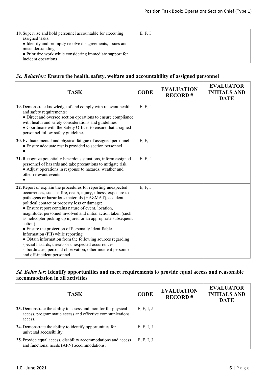| 18. Supervise and hold personnel accountable for executing<br>assigned tasks:<br>• Identify and promptly resolve disagreements, issues and<br>misunderstandings<br>• Prioritize work while considering immediate support for<br>incident operations | E, F, I |  |
|-----------------------------------------------------------------------------------------------------------------------------------------------------------------------------------------------------------------------------------------------------|---------|--|

## *3c. Behavior:* **Ensure the health, safety, welfare and accountability of assigned personnel**

| <b>TASK</b>                                                                                                                                                                                                                                                                                                                                                                                                                                                                                                                                                                                                                                                                                                                                              | <b>CODE</b> | <b>EVALUATION</b><br><b>RECORD#</b> | <b>EVALUATOR</b><br><b>INITIALS AND</b><br><b>DATE</b> |
|----------------------------------------------------------------------------------------------------------------------------------------------------------------------------------------------------------------------------------------------------------------------------------------------------------------------------------------------------------------------------------------------------------------------------------------------------------------------------------------------------------------------------------------------------------------------------------------------------------------------------------------------------------------------------------------------------------------------------------------------------------|-------------|-------------------------------------|--------------------------------------------------------|
| 19. Demonstrate knowledge of and comply with relevant health<br>and safety requirements:<br>• Direct and oversee section operations to ensure compliance<br>with health and safety considerations and guidelines<br>• Coordinate with the Safety Officer to ensure that assigned<br>personnel follow safety guidelines                                                                                                                                                                                                                                                                                                                                                                                                                                   | E, F, I     |                                     |                                                        |
| 20. Evaluate mental and physical fatigue of assigned personnel:<br>• Ensure adequate rest is provided to section personnel                                                                                                                                                                                                                                                                                                                                                                                                                                                                                                                                                                                                                               | E, F, I     |                                     |                                                        |
| 21. Recognize potentially hazardous situations, inform assigned<br>personnel of hazards and take precautions to mitigate risk:<br>• Adjust operations in response to hazards, weather and<br>other relevant events                                                                                                                                                                                                                                                                                                                                                                                                                                                                                                                                       | E, F, I     |                                     |                                                        |
| 22. Report or explain the procedures for reporting unexpected<br>occurrences, such as fire, death, injury, illness, exposure to<br>pathogens or hazardous materials (HAZMAT), accident,<br>political contact or property loss or damage:<br>• Ensure report contains nature of event, location,<br>magnitude, personnel involved and initial action taken (such<br>as helicopter picking up injured or an appropriate subsequent<br>action)<br>• Ensure the protection of Personally Identifiable<br>Information (PII) while reporting<br>• Obtain information from the following sources regarding<br>special hazards, threats or unexpected occurrences:<br>subordinates, personal observation, other incident personnel<br>and off-incident personnel | E, F, I     |                                     |                                                        |

#### *3d. Behavior:* **Identify opportunities and meet requirements to provide equal access and reasonable accommodation in all activities**

| <b>TASK</b>                                                                                                                           | <b>CODE</b> | <b>EVALUATION</b><br><b>RECORD#</b> | <b>EVALUATOR</b><br><b>INITIALS AND</b><br><b>DATE</b> |
|---------------------------------------------------------------------------------------------------------------------------------------|-------------|-------------------------------------|--------------------------------------------------------|
| 23. Demonstrate the ability to assess and monitor for physical<br>access, programmatic access and effective communications<br>access. | E, F, I, J  |                                     |                                                        |
| 24. Demonstrate the ability to identify opportunities for<br>universal accessibility.                                                 | E, F, I, J  |                                     |                                                        |
| 25. Provide equal access, disability accommodations and access<br>and functional needs (AFN) accommodations.                          | E, F, I, J  |                                     |                                                        |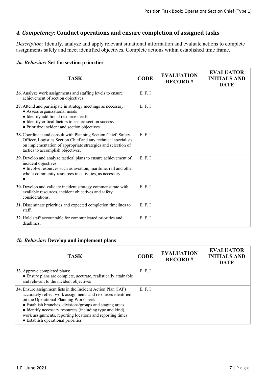## *4. Competency:* **Conduct operations and ensure completion of assigned tasks**

*Description:* Identify, analyze and apply relevant situational information and evaluate actions to complete assignments safely and meet identified objectives. Complete actions within established time frame.

|  | 4a. Behavior: Set the section priorities |  |  |  |  |
|--|------------------------------------------|--|--|--|--|
|--|------------------------------------------|--|--|--|--|

| TASK                                                                                                                                                                                                                                            | <b>CODE</b> | <b>EVALUATION</b><br><b>RECORD#</b> | <b>EVALUATOR</b><br><b>INITIALS AND</b><br><b>DATE</b> |
|-------------------------------------------------------------------------------------------------------------------------------------------------------------------------------------------------------------------------------------------------|-------------|-------------------------------------|--------------------------------------------------------|
| 26. Analyze work assignments and staffing levels to ensure<br>achievement of section objectives.                                                                                                                                                | E, F, I     |                                     |                                                        |
| 27. Attend and participate in strategy meetings as necessary:<br>• Assess organizational needs<br>• Identify additional resource needs<br>• Identify critical factors to ensure section success<br>• Prioritize incident and section objectives | E, F, I     |                                     |                                                        |
| 28. Coordinate and consult with Planning Section Chief, Safety<br>Officer, Logistics Section Chief and any technical specialists<br>on implementation of appropriate strategies and selection of<br>tactics to accomplish objectives.           | E, F, I     |                                     |                                                        |
| 29. Develop and analyze tactical plans to ensure achievement of<br>incident objectives:<br>• Involve resources such as aviation, maritime, rail and other<br>whole-community resources in activities, as necessary                              | E, F, I     |                                     |                                                        |
| 30. Develop and validate incident strategy commensurate with<br>available resources, incident objectives and safety<br>considerations.                                                                                                          | E, F, I     |                                     |                                                        |
| 31. Disseminate priorities and expected completion timelines to<br>staff.                                                                                                                                                                       | E, F, I     |                                     |                                                        |
| 32. Hold staff accountable for communicated priorities and<br>deadlines.                                                                                                                                                                        | E, F, I     |                                     |                                                        |

#### *4b. Behavior:* **Develop and implement plans**

| <b>TASK</b>                                                                                                                                                                                                                                                                                                                                                                                         | <b>CODE</b> | <b>EVALUATION</b><br><b>RECORD#</b> | <b>EVALUATOR</b><br><b>INITIALS AND</b><br><b>DATE</b> |
|-----------------------------------------------------------------------------------------------------------------------------------------------------------------------------------------------------------------------------------------------------------------------------------------------------------------------------------------------------------------------------------------------------|-------------|-------------------------------------|--------------------------------------------------------|
| <b>33.</b> Approve completed plans:<br>• Ensure plans are complete, accurate, realistically attainable<br>and relevant to the incident objectives                                                                                                                                                                                                                                                   | E, F, I     |                                     |                                                        |
| 34. Ensure assignment lists in the Incident Action Plan (IAP)<br>accurately reflect work assignments and resources identified<br>on the Operational Planning Worksheet:<br>• Establish branches, divisions/groups and staging areas<br>• Identify necessary resources (including type and kind),<br>work assignments, reporting locations and reporting times<br>• Establish operational priorities | E, F, I     |                                     |                                                        |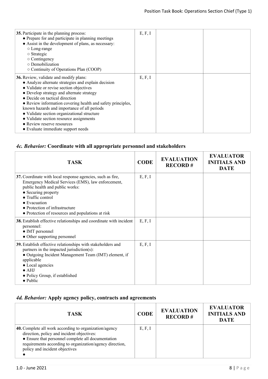| 35. Participate in the planning process:<br>• Prepare for and participate in planning meetings<br>• Assist in the development of plans, as necessary:<br>$\circ$ Long-range<br>$\circ$ Strategic<br>$\circ$ Contingency<br>$\circ$ Demobilization<br>$\circ$ Continuity of Operations Plan (COOP)                                                                                                                                                                                                   | E, F, I |  |
|-----------------------------------------------------------------------------------------------------------------------------------------------------------------------------------------------------------------------------------------------------------------------------------------------------------------------------------------------------------------------------------------------------------------------------------------------------------------------------------------------------|---------|--|
| 36. Review, validate and modify plans:<br>• Analyze alternate strategies and explain decision<br>• Validate or revise section objectives<br>• Develop strategy and alternate strategy<br>• Decide on tactical direction<br>• Review information covering health and safety principles,<br>known hazards and importance of all periods<br>• Validate section organizational structure<br>• Validate section resource assignments<br>• Review reserve resources<br>• Evaluate immediate support needs | E, F, I |  |

# *4c. Behavior:* **Coordinate with all appropriate personnel and stakeholders**

| <b>TASK</b>                                                                                                                                                                                                                                                                                                    | <b>CODE</b> | <b>EVALUATION</b><br><b>RECORD#</b> | <b>EVALUATOR</b><br><b>INITIALS AND</b><br><b>DATE</b> |
|----------------------------------------------------------------------------------------------------------------------------------------------------------------------------------------------------------------------------------------------------------------------------------------------------------------|-------------|-------------------------------------|--------------------------------------------------------|
| 37. Coordinate with local response agencies, such as fire,<br>Emergency Medical Services (EMS), law enforcement,<br>public health and public works:<br>• Securing property<br>• Traffic control<br>$\bullet$ Evacuation<br>• Protection of infrastructure<br>• Protection of resources and populations at risk | E, F, I     |                                     |                                                        |
| 38. Establish effective relationships and coordinate with incident<br>personnel:<br>• IMT personnel<br>• Other supporting personnel                                                                                                                                                                            | E, F, I     |                                     |                                                        |
| 39. Establish effective relationships with stakeholders and<br>partners in the impacted jurisdiction(s):<br>• Outgoing Incident Management Team (IMT) element, if<br>applicable<br>• Local agencies<br>$\bullet$ AHJ<br>• Policy Group, if established<br>$\bullet$ Public                                     | E, F, I     |                                     |                                                        |

## *4d. Behavior:* **Apply agency policy, contracts and agreements**

| <b>TASK</b>                                                                                                                                                                                                                                              | <b>CODE</b> | <b>EVALUATION</b><br><b>RECORD#</b> | <b>EVALUATOR</b><br><b>INITIALS AND</b><br><b>DATE</b> |
|----------------------------------------------------------------------------------------------------------------------------------------------------------------------------------------------------------------------------------------------------------|-------------|-------------------------------------|--------------------------------------------------------|
| 40. Complete all work according to organization/agency<br>direction, policy and incident objectives:<br>• Ensure that personnel complete all documentation<br>requirements according to organization/agency direction,<br>policy and incident objectives | E, F, I     |                                     |                                                        |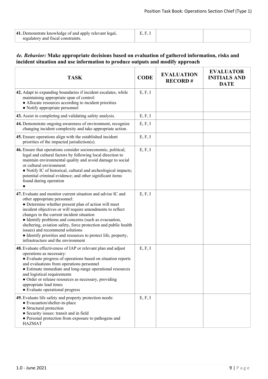$\overline{\phantom{0}}$ 

| 41. Demonstrate knowledge of and apply relevant legal, |  |  |
|--------------------------------------------------------|--|--|
| regulatory and fiscal constraints.                     |  |  |

#### *4e. Behavior:* **Make appropriate decisions based on evaluation of gathered information, risks and incident situation and use information to produce outputs and modify approach**

| <b>TASK</b>                                                                                                                                                                                                                                                                                                                                                                                                                                                                                                                           | <b>CODE</b> | <b>EVALUATION</b><br><b>RECORD#</b> | <b>EVALUATOR</b><br><b>INITIALS AND</b><br><b>DATE</b> |
|---------------------------------------------------------------------------------------------------------------------------------------------------------------------------------------------------------------------------------------------------------------------------------------------------------------------------------------------------------------------------------------------------------------------------------------------------------------------------------------------------------------------------------------|-------------|-------------------------------------|--------------------------------------------------------|
| 42. Adapt to expanding boundaries if incident escalates, while<br>maintaining appropriate span of control:<br>• Allocate resources according to incident priorities<br>• Notify appropriate personnel                                                                                                                                                                                                                                                                                                                                 | E, F, I     |                                     |                                                        |
| 43. Assist in completing and validating safety analysis.                                                                                                                                                                                                                                                                                                                                                                                                                                                                              | E, F, I     |                                     |                                                        |
| 44. Demonstrate ongoing awareness of environment, recognize<br>changing incident complexity and take appropriate action.                                                                                                                                                                                                                                                                                                                                                                                                              | E, F, I     |                                     |                                                        |
| 45. Ensure operations align with the established incident<br>priorities of the impacted jurisdiction(s).                                                                                                                                                                                                                                                                                                                                                                                                                              | E, F, I     |                                     |                                                        |
| 46. Ensure that operations consider socioeconomic, political,<br>legal and cultural factors by following local direction to<br>maintain environmental quality and avoid damage to social<br>or cultural environment:<br>• Notify IC of historical, cultural and archeological impacts;<br>potential criminal evidence; and other significant items<br>found during operation                                                                                                                                                          | E, F, I     |                                     |                                                        |
| 47. Evaluate and monitor current situation and advise IC and<br>other appropriate personnel:<br>• Determine whether present plan of action will meet<br>incident objectives or will require amendments to reflect<br>changes in the current incident situation<br>• Identify problems and concerns (such as evacuation,<br>sheltering, aviation safety, force protection and public health<br>issues) and recommend solutions<br>• Identify priorities and resources to protect life, property,<br>infrastructure and the environment | E, F, I     |                                     |                                                        |
| 48. Evaluate effectiveness of IAP or relevant plan and adjust<br>operations as necessary:<br>• Evaluate progress of operations based on situation reports<br>and evaluations from operations personnel<br>• Estimate immediate and long-range operational resources<br>and logistical requirements<br>• Order or release resources as necessary, providing<br>appropriate lead times<br>• Evaluate operational progress                                                                                                               | E, F, I     |                                     |                                                        |
| 49. Evaluate life safety and property protection needs:<br>• Evacuation/shelter-in-place<br>• Structural protection<br>• Security issues: transit and in field<br>• Personal protection from exposure to pathogens and<br><b>HAZMAT</b>                                                                                                                                                                                                                                                                                               | E, F, I     |                                     |                                                        |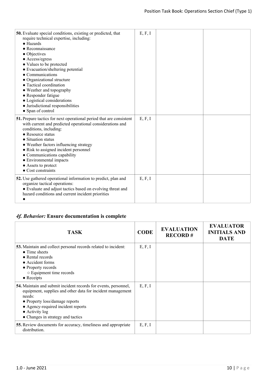| 50. Evaluate special conditions, existing or predicted, that<br>require technical expertise, including:<br>$\bullet$ Hazards<br>$\bullet$ Reconnaissance<br>• Objectives<br>$\bullet$ Access/egress<br>• Values to be protected<br>• Evacuation/sheltering potential<br>• Communications<br>• Organizational structure<br>• Tactical coordination<br>• Weather and topography<br>• Responder fatigue<br>• Logistical considerations<br>• Jurisdictional responsibilities<br>• Span of control | E, F, I |  |
|-----------------------------------------------------------------------------------------------------------------------------------------------------------------------------------------------------------------------------------------------------------------------------------------------------------------------------------------------------------------------------------------------------------------------------------------------------------------------------------------------|---------|--|
| 51. Prepare tactics for next operational period that are consistent<br>with current and predicted operational considerations and<br>conditions, including:<br>• Resource status<br>• Situation status<br>• Weather factors influencing strategy<br>• Risk to assigned incident personnel<br>• Communications capability<br>• Environmental impacts<br>• Assets to protect<br>• Cost constraints                                                                                               | E, F, I |  |
| 52. Use gathered operational information to predict, plan and<br>organize tactical operations:<br>• Evaluate and adjust tactics based on evolving threat and<br>hazard conditions and current incident priorities                                                                                                                                                                                                                                                                             | E, F, I |  |

# *4f. Behavior:* **Ensure documentation is complete**

| TASK                                                                                                                                                                                                                                                                           | <b>CODE</b> | <b>EVALUATION</b><br><b>RECORD#</b> | <b>EVALUATOR</b><br><b>INITIALS AND</b><br><b>DATE</b> |
|--------------------------------------------------------------------------------------------------------------------------------------------------------------------------------------------------------------------------------------------------------------------------------|-------------|-------------------------------------|--------------------------------------------------------|
| <b>53.</b> Maintain and collect personal records related to incident:<br>$\bullet$ Time sheets<br>$\bullet$ Rental records<br>• Accident forms<br>• Property records<br>○ Equipment time records<br>$\bullet$ Receipts                                                         | E, F, I     |                                     |                                                        |
| 54. Maintain and submit incident records for events, personnel,<br>equipment, supplies and other data for incident management<br>needs:<br>• Property loss/damage reports<br>• Agency-required incident reports<br>$\bullet$ Activity log<br>• Changes in strategy and tactics | E, F, I     |                                     |                                                        |
| <b>55.</b> Review documents for accuracy, timeliness and appropriate<br>distribution.                                                                                                                                                                                          | E, F, I     |                                     |                                                        |